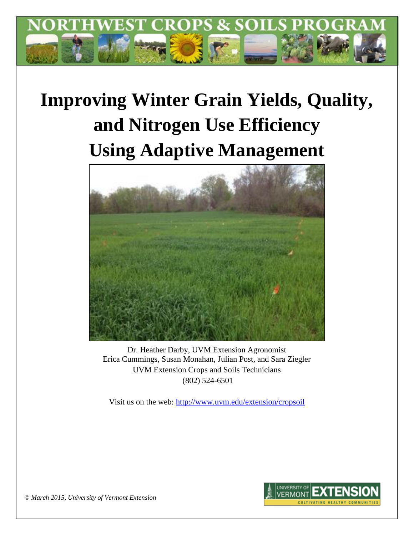

# **Improving Winter Grain Yields, Quality, and Nitrogen Use Efficiency Using Adaptive Management**



Dr. Heather Darby, UVM Extension Agronomist Erica Cummings, Susan Monahan, Julian Post, and Sara Ziegler UVM Extension Crops and Soils Technicians (802) 524-6501

Visit us on the web:<http://www.uvm.edu/extension/cropsoil>



*© March 2015, University of Vermont Extension*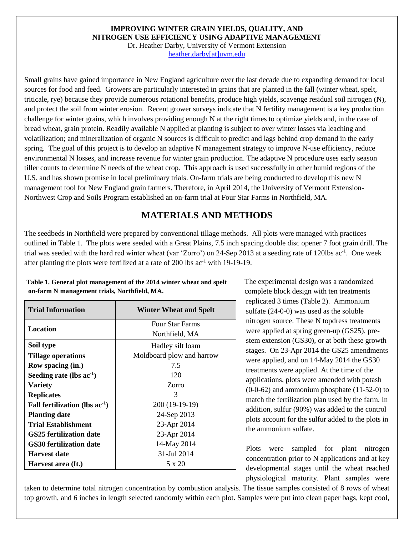#### **IMPROVING WINTER GRAIN YIELDS, QUALITY, AND NITROGEN USE EFFICIENCY USING ADAPTIVE MANAGEMENT**

Dr. Heather Darby, University of Vermont Extension [heather.darby\[at\]uvm.edu](mailto:heather.darby@uvm.edu)

Small grains have gained importance in New England agriculture over the last decade due to expanding demand for local sources for food and feed. Growers are particularly interested in grains that are planted in the fall (winter wheat, spelt, triticale, rye) because they provide numerous rotational benefits, produce high yields, scavenge residual soil nitrogen (N), and protect the soil from winter erosion. Recent grower surveys indicate that N fertility management is a key production challenge for winter grains, which involves providing enough N at the right times to optimize yields and, in the case of bread wheat, grain protein. Readily available N applied at planting is subject to over winter losses via leaching and volatilization; and mineralization of organic N sources is difficult to predict and lags behind crop demand in the early spring. The goal of this project is to develop an adaptive N management strategy to improve N-use efficiency, reduce environmental N losses, and increase revenue for winter grain production. The adaptive N procedure uses early season tiller counts to determine N needs of the wheat crop. This approach is used successfully in other humid regions of the U.S. and has shown promise in local preliminary trials. On-farm trials are being conducted to develop this new N management tool for New England grain farmers. Therefore, in April 2014, the University of Vermont Extension-Northwest Crop and Soils Program established an on-farm trial at Four Star Farms in Northfield, MA.

## **MATERIALS AND METHODS**

The seedbeds in Northfield were prepared by conventional tillage methods. All plots were managed with practices outlined in Table 1. The plots were seeded with a Great Plains, 7.5 inch spacing double disc opener 7 foot grain drill. The trial was seeded with the hard red winter wheat (var 'Zorro') on 24-Sep 2013 at a seeding rate of 120lbs ac<sup>-1</sup>. One week after planting the plots were fertilized at a rate of 200 lbs ac-1 with 19-19-19.

| Trial Information                   | Winter Wheat and Spelt    |
|-------------------------------------|---------------------------|
| Location                            | <b>Four Star Farms</b>    |
|                                     | Northfield, MA            |
| Soil type                           | Hadley silt loam          |
| <b>Tillage operations</b>           | Moldboard plow and harrow |
| Row spacing (in.)                   | 7.5                       |
| Seeding rate (lbs $ac^{-1}$ )       | 120                       |
| <b>Variety</b>                      | Zorro                     |
| <b>Replicates</b>                   | 3                         |
| Fall fertilization (lbs $ac^{-1}$ ) | 200 (19-19-19)            |
| <b>Planting date</b>                | 24-Sep 2013               |
| Trial Establishment                 | 23-Apr 2014               |
| GS25 fertilization date             | 23-Apr 2014               |
| <b>GS30 fertilization date</b>      | 14-May 2014               |
| Harvest date                        | 31-Jul 2014               |
| Harvest area (ft.)                  | 5 x 20                    |

#### **Table 1. General plot management of the 2014 winter wheat and spelt on-farm N management trials, Northfield, MA.**

The experimental design was a randomized complete block design with ten treatments replicated 3 times (Table 2). Ammonium sulfate (24-0-0) was used as the soluble nitrogen source. These N topdress treatments were applied at spring green-up (GS25), prestem extension (GS30), or at both these growth stages. On 23-Apr 2014 the GS25 amendments were applied, and on 14-May 2014 the GS30 treatments were applied. At the time of the applications, plots were amended with potash (0-0-62) and ammonium phosphate (11-52-0) to match the fertilization plan used by the farm. In addition, sulfur (90%) was added to the control plots account for the sulfur added to the plots in the ammonium sulfate.

Plots were sampled for plant nitrogen concentration prior to N applications and at key developmental stages until the wheat reached physiological maturity. Plant samples were

taken to determine total nitrogen concentration by combustion analysis. The tissue samples consisted of 8 rows of wheat top growth, and 6 inches in length selected randomly within each plot. Samples were put into clean paper bags, kept cool,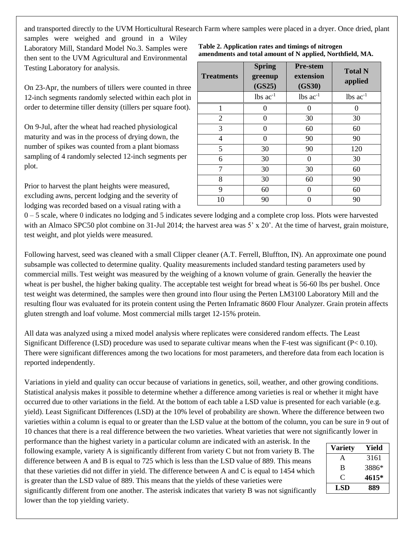and transported directly to the UVM Horticultural Research Farm where samples were placed in a dryer. Once dried, plant

samples were weighed and ground in a Wiley Laboratory Mill, Standard Model No.3. Samples were then sent to the UVM Agricultural and Environmental Testing Laboratory for analysis.

On 23-Apr, the numbers of tillers were counted in three 12-inch segments randomly selected within each plot in order to determine tiller density (tillers per square foot).

On 9-Jul, after the wheat had reached physiological maturity and was in the process of drying down, the number of spikes was counted from a plant biomass sampling of 4 randomly selected 12-inch segments per plot.

Prior to harvest the plant heights were measured, excluding awns, percent lodging and the severity of lodging was recorded based on a visual rating with a

| amendments and total amount of N applied, Northfield, MA. |                                    |                                        |                           |  |  |  |
|-----------------------------------------------------------|------------------------------------|----------------------------------------|---------------------------|--|--|--|
| <b>Treatments</b>                                         | <b>Spring</b><br>greenup<br>(GS25) | <b>Pre-stem</b><br>extension<br>(GS30) | <b>Total N</b><br>applied |  |  |  |
|                                                           | $lbs$ $ac^{-1}$                    | $lbs$ $ac^{-1}$                        | $lbs$ ac <sup>-1</sup>    |  |  |  |
|                                                           |                                    |                                        |                           |  |  |  |
| 2                                                         |                                    | 30                                     | 30                        |  |  |  |
| 3                                                         |                                    | 60                                     | 60                        |  |  |  |
|                                                           |                                    | 90                                     | 90                        |  |  |  |
|                                                           | 30                                 | 90                                     | 120                       |  |  |  |

**Table 2. Application rates and timings of nitrogen** 

| ∠  | v  | $50^{\circ}$ | $\overline{\mathcal{L}}$ |
|----|----|--------------|--------------------------|
| 3  |    | 60           | 60                       |
|    |    | 90           | 90                       |
|    | 30 | 90           | 120                      |
|    | 30 |              | 30                       |
|    | 30 | 30           | 60                       |
|    | 30 | 60           | 90                       |
|    | 60 |              | 60                       |
| 10 | 90 |              | 90                       |

 $0 - 5$  scale, where 0 indicates no lodging and 5 indicates severe lodging and a complete crop loss. Plots were harvested with an Almaco SPC50 plot combine on 31-Jul 2014; the harvest area was 5' x 20'. At the time of harvest, grain moisture, test weight, and plot yields were measured.

Following harvest, seed was cleaned with a small Clipper cleaner (A.T. Ferrell, Bluffton, IN). An approximate one pound subsample was collected to determine quality. Quality measurements included standard testing parameters used by commercial mills. Test weight was measured by the weighing of a known volume of grain. Generally the heavier the wheat is per bushel, the higher baking quality. The acceptable test weight for bread wheat is 56-60 lbs per bushel. Once test weight was determined, the samples were then ground into flour using the Perten LM3100 Laboratory Mill and the resulting flour was evaluated for its protein content using the Perten Inframatic 8600 Flour Analyzer. Grain protein affects gluten strength and loaf volume. Most commercial mills target 12-15% protein.

All data was analyzed using a mixed model analysis where replicates were considered random effects. The Least Significant Difference (LSD) procedure was used to separate cultivar means when the F-test was significant ( $P < 0.10$ ). There were significant differences among the two locations for most parameters, and therefore data from each location is reported independently.

Variations in yield and quality can occur because of variations in genetics, soil, weather, and other growing conditions. Statistical analysis makes it possible to determine whether a difference among varieties is real or whether it might have occurred due to other variations in the field. At the bottom of each table a LSD value is presented for each variable (e.g. yield). Least Significant Differences (LSD) at the 10% level of probability are shown. Where the difference between two varieties within a column is equal to or greater than the LSD value at the bottom of the column, you can be sure in 9 out of 10 chances that there is a real difference between the two varieties. Wheat varieties that were not significantly lower in

performance than the highest variety in a particular column are indicated with an asterisk. In the following example, variety A is significantly different from variety C but not from variety B. The difference between A and B is equal to 725 which is less than the LSD value of 889. This means that these varieties did not differ in yield. The difference between A and C is equal to 1454 which is greater than the LSD value of 889. This means that the yields of these varieties were

significantly different from one another. The asterisk indicates that variety B was not significantly lower than the top yielding variety.

| Variety | Yield |
|---------|-------|
| A       | 3161  |
| B       | 3886* |
| €       | 4615* |
| LSD     | 889   |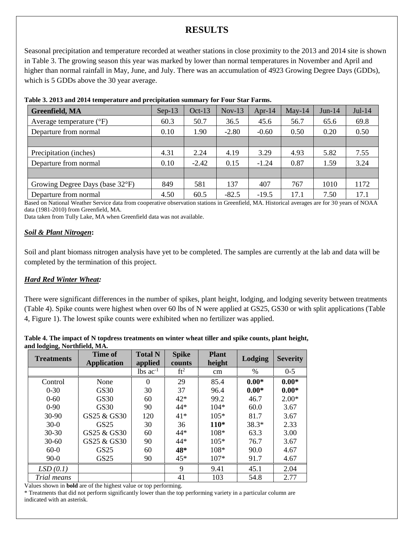# **RESULTS**

Seasonal precipitation and temperature recorded at weather stations in close proximity to the 2013 and 2014 site is shown in Table 3. The growing season this year was marked by lower than normal temperatures in November and April and higher than normal rainfall in May, June, and July. There was an accumulation of 4923 Growing Degree Days (GDDs), which is 5 GDDs above the 30 year average.

| <b>Greenfield, MA</b>               | $Sep-13$ | $Oct-13$ | $Nov-13$ | Apr-14  | $May-14$ | $Jun-14$ | $Jul-14$ |
|-------------------------------------|----------|----------|----------|---------|----------|----------|----------|
| Average temperature $({}^{\circ}F)$ | 60.3     | 50.7     | 36.5     | 45.6    | 56.7     | 65.6     | 69.8     |
| Departure from normal               | 0.10     | 1.90     | $-2.80$  | $-0.60$ | 0.50     | 0.20     | 0.50     |
|                                     |          |          |          |         |          |          |          |
| Precipitation (inches)              | 4.31     | 2.24     | 4.19     | 3.29    | 4.93     | 5.82     | 7.55     |
| Departure from normal               | 0.10     | $-2.42$  | 0.15     | $-1.24$ | 0.87     | 1.59     | 3.24     |
|                                     |          |          |          |         |          |          |          |
| Growing Degree Days (base 32°F)     | 849      | 581      | 137      | 407     | 767      | 1010     | 1172     |
| Departure from normal               | 4.50     | 60.5     | $-82.5$  | $-19.5$ | 17.1     | 7.50     | 17.1     |

#### **Table 3. 2013 and 2014 temperature and precipitation summary for Four Star Farms.**

Based on National Weather Service data from cooperative observation stations in Greenfield, MA. Historical averages are for 30 years of NOAA data (1981-2010) from Greenfield, MA.

Data taken from Tully Lake, MA when Greenfield data was not available.

#### *Soil & Plant Nitrogen***:**

Soil and plant biomass nitrogen analysis have yet to be completed. The samples are currently at the lab and data will be completed by the termination of this project.

#### *Hard Red Winter Wheat:*

There were significant differences in the number of spikes, plant height, lodging, and lodging severity between treatments (Table 4). Spike counts were highest when over 60 lbs of N were applied at GS25, GS30 or with split applications (Table 4, Figure 1). The lowest spike counts were exhibited when no fertilizer was applied.

| Table 4. The impact of N topdress treatments on winter wheat tiller and spike counts, plant height, |  |  |
|-----------------------------------------------------------------------------------------------------|--|--|
| and lodging, Northfield, MA.                                                                        |  |  |

| <b>Treatments</b> | Time of<br><b>Application</b> | <b>Total N</b><br>applied | <b>Spike</b><br>counts | <b>Plant</b><br>height | <b>Lodging</b> | <b>Severity</b> |
|-------------------|-------------------------------|---------------------------|------------------------|------------------------|----------------|-----------------|
|                   |                               | $lbs$ ac <sup>-1</sup>    | ft <sup>2</sup>        | cm                     | %              | $0 - 5$         |
| Control           | None                          | $\Omega$                  | 29                     | 85.4                   | $0.00*$        | $0.00*$         |
| $0 - 30$          | <b>GS30</b>                   | 30                        | 37                     | 96.4                   | $0.00*$        | $0.00*$         |
| $0 - 60$          | GS30                          | 60                        | $42*$                  | 99.2                   | 46.7           | $2.00*$         |
| $0 - 90$          | <b>GS30</b>                   | 90                        | $44*$                  | $104*$                 | 60.0           | 3.67            |
| 30-90             | GS25 & GS30                   | 120                       | $41*$                  | $105*$                 | 81.7           | 3.67            |
| $30-0$            | GS25                          | 30                        | 36                     | $110*$                 | $38.3*$        | 2.33            |
| $30 - 30$         | GS25 & GS30                   | 60                        | $44*$                  | $108*$                 | 63.3           | 3.00            |
| $30 - 60$         | GS25 & GS30                   | 90                        | $44*$                  | $105*$                 | 76.7           | 3.67            |
| $60-0$            | <b>GS25</b>                   | 60                        | 48*                    | $108*$                 | 90.0           | 4.67            |
| $90-0$            | GS25                          | 90                        | $45*$                  | $107*$                 | 91.7           | 4.67            |
| LSD(0.1)          |                               |                           | 9                      | 9.41                   | 45.1           | 2.04            |
| Trial means       |                               |                           | 41                     | 103                    | 54.8           | 2.77            |

Values shown in **bold** are of the highest value or top performing.

\* Treatments that did not perform significantly lower than the top performing variety in a particular column are indicated with an asterisk.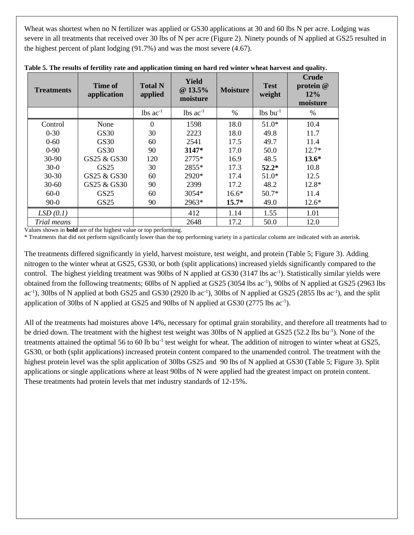Wheat was shortest when no N fertilizer was applied or GS30 applications at 30 and 60 lbs N per acre. Lodging was severe in all treatments that received over 30 lbs of N per acre (Figure 2). Ninety pounds of N applied at GS25 resulted in the highest percent of plant lodging (91.7%) and was the most severe (4.67).

| <b>Treatments</b> | Time of<br>application | <b>Total N</b><br>applied | <b>Yield</b><br>@ 13.5%<br>moisture | <b>Moisture</b> | <b>Test</b><br>weight  | <b>Crude</b><br>protein @<br>12%<br>moisture |
|-------------------|------------------------|---------------------------|-------------------------------------|-----------------|------------------------|----------------------------------------------|
|                   |                        | $lbs$ ac <sup>-1</sup>    | $lbs$ ac <sup>-1</sup>              | $\%$            | $lbs$ bu <sup>-1</sup> | $\%$                                         |
| Control           | None                   | $\Omega$                  | 1598                                | 18.0            | $51.0*$                | 10.4                                         |
| $0 - 30$          | GS30                   | 30                        | 2223                                | 18.0            | 49.8                   | 11.7                                         |
| $0 - 60$          | GS30                   | 60                        | 2541                                | 17.5            | 49.7                   | 11.4                                         |
| $0 - 90$          | GS30                   | 90                        | 3147*                               | 17.0            | 50.0                   | $12.7*$                                      |
| 30-90             | GS25 & GS30            | 120                       | $2775*$                             | 16.9            | 48.5                   | $13.6*$                                      |
| $30-0$            | GS25                   | 30                        | 2855*                               | 17.3            | $52.2*$                | 10.8                                         |
| $30 - 30$         | GS25 & GS30            | 60                        | 2920*                               | 17.4            | $51.0*$                | 12.5                                         |
| $30 - 60$         | GS25 & GS30            | 90                        | 2399                                | 17.2            | 48.2                   | $12.8*$                                      |
| $60-0$            | GS25                   | 60                        | $3054*$                             | $16.6*$         | $50.7*$                | 11.4                                         |
| $90-0$            | GS25                   | 90                        | 2963*                               | $15.7*$         | 49.0                   | $12.6*$                                      |
| LSD(0.1)          |                        |                           | 412                                 | 1.14            | 1.55                   | 1.01                                         |
| Trial means       |                        |                           | 2648                                | 17.2            | 50.0                   | 12.0                                         |

**Table 5. The results of fertility rate and application timing on hard red winter wheat harvest and quality.**

Values shown in **bold** are of the highest value or top performing.

\* Treatments that did not perform significantly lower than the top performing variety in a particular column are indicated with an asterisk.

The treatments differed significantly in yield, harvest moisture, test weight, and protein (Table 5; Figure 3). Adding nitrogen to the winter wheat at GS25, GS30, or both (split applications) increased yields significantly compared to the control. The highest yielding treatment was 90lbs of N applied at GS30 (3147 lbs ac<sup>-1</sup>). Statistically similar yields were obtained from the following treatments; 60lbs of N applied at GS25 (3054 lbs ac<sup>-1</sup>), 90lbs of N applied at GS25 (2963 lbs  $ac^{-1}$ ), 30lbs of N applied at both GS25 and GS30 (2920 lb  $ac^{-1}$ ), 30lbs of N applied at GS25 (2855 lbs  $ac^{-1}$ ), and the split application of 30lbs of N applied at GS25 and 90lbs of N applied at GS30 (2775 lbs ac<sup>-1</sup>).

All of the treatments had moistures above 14%, necessary for optimal grain storability, and therefore all treatments had to be dried down. The treatment with the highest test weight was 30lbs of N applied at GS25 (52.2 lbs bu<sup>-1</sup>). None of the treatments attained the optimal 56 to 60 lb bu<sup>-1</sup> test weight for wheat. The addition of nitrogen to winter wheat at GS25, GS30, or both (split applications) increased protein content compared to the unamended control. The treatment with the highest protein level was the split application of 30lbs GS25 and 90 lbs of N applied at GS30 (Table 5; Figure 3). Split applications or single applications where at least 90lbs of N were applied had the greatest impact on protein content. These treatments had protein levels that met industry standards of 12-15%.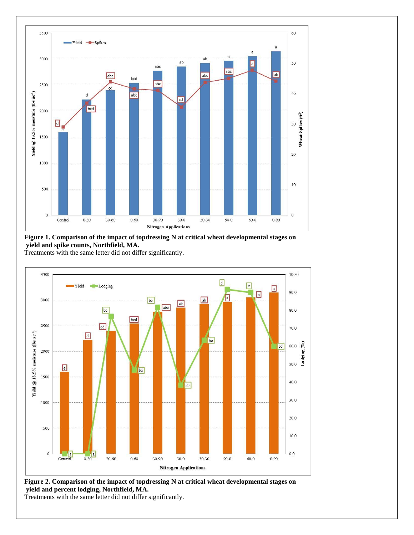

**Figure 1. Comparison of the impact of topdressing N at critical wheat developmental stages on yield and spike counts, Northfield, MA.**

Treatments with the same letter did not differ significantly.



**Figure 2. Comparison of the impact of topdressing N at critical wheat developmental stages on yield and percent lodging, Northfield, MA.** 

Treatments with the same letter did not differ significantly.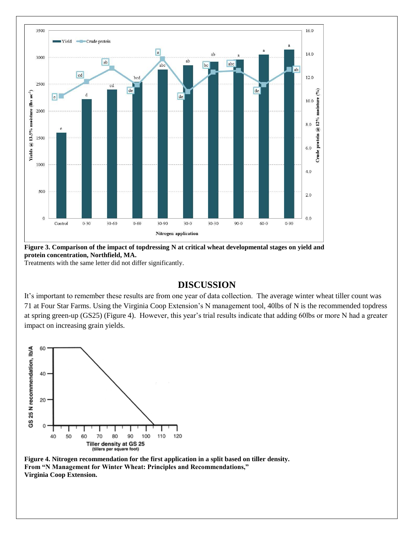

**Figure 3. Comparison of the impact of topdressing N at critical wheat developmental stages on yield and protein concentration, Northfield, MA.** 

Treatments with the same letter did not differ significantly.

### **DISCUSSION**

It's important to remember these results are from one year of data collection. The average winter wheat tiller count was 71 at Four Star Farms. Using the Virginia Coop Extension's N management tool, 40lbs of N is the recommended topdress at spring green-up (GS25) (Figure 4). However, this year's trial results indicate that adding 60lbs or more N had a greater impact on increasing grain yields.



**Figure 4. Nitrogen recommendation for the first application in a split based on tiller density. From "N Management for Winter Wheat: Principles and Recommendations," Virginia Coop Extension.**